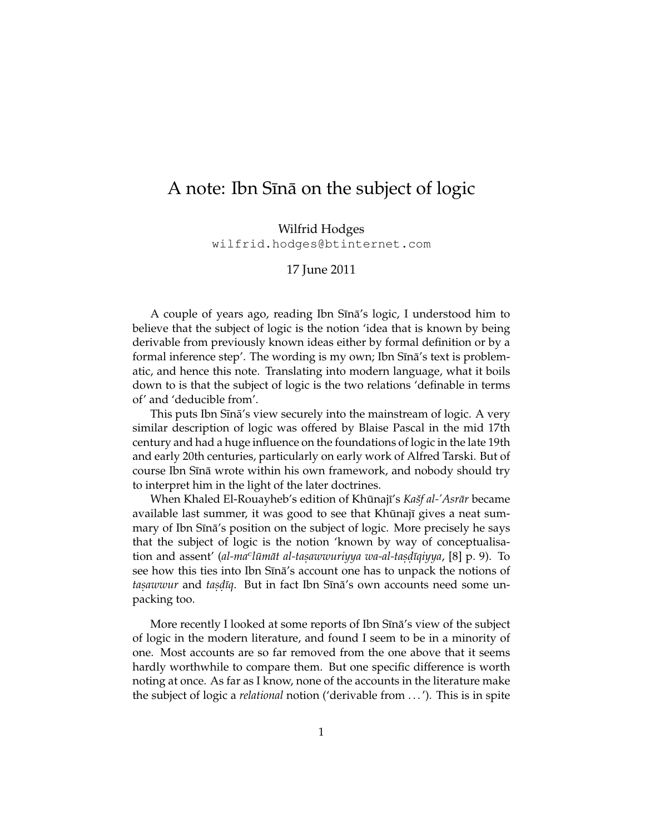## A note: Ibn Sina on the subject of logic

Wilfrid Hodges wilfrid.hodges@btinternet.com

## 17 June 2011

A couple of years ago, reading Ibn Sīnā's logic, I understood him to believe that the subject of logic is the notion 'idea that is known by being derivable from previously known ideas either by formal definition or by a formal inference step'. The wording is my own; Ibn Sīnā's text is problematic, and hence this note. Translating into modern language, what it boils down to is that the subject of logic is the two relations 'definable in terms of' and 'deducible from'.

This puts Ibn Sīnā's view securely into the mainstream of logic. A very similar description of logic was offered by Blaise Pascal in the mid 17th century and had a huge influence on the foundations of logic in the late 19th and early 20th centuries, particularly on early work of Alfred Tarski. But of course Ibn Sīnā wrote within his own framework, and nobody should try to interpret him in the light of the later doctrines.

When Khaled El-Rouayheb's edition of Khūnajī's *Kašf al-'Asrār* became available last summer, it was good to see that Khūnajī gives a neat summary of Ibn Sīnā's position on the subject of logic. More precisely he says that the subject of logic is the notion 'known by way of conceptualisation and assent' (al-ma<sup>c</sup>lūmāt al-tasawwuriyya wa-al-tasdīqiyya, [8] p. 9). To see how this ties into Ibn Sīnā's account one has to unpack the notions of *taṣawwur* and *taṣḍīq*. But in fact Ibn Sīnā's own accounts need some unpacking too.

More recently I looked at some reports of Ibn Sīnā's view of the subject of logic in the modern literature, and found I seem to be in a minority of one. Most accounts are so far removed from the one above that it seems hardly worthwhile to compare them. But one specific difference is worth noting at once. As far as I know, none of the accounts in the literature make the subject of logic a *relational* notion ('derivable from . . . '). This is in spite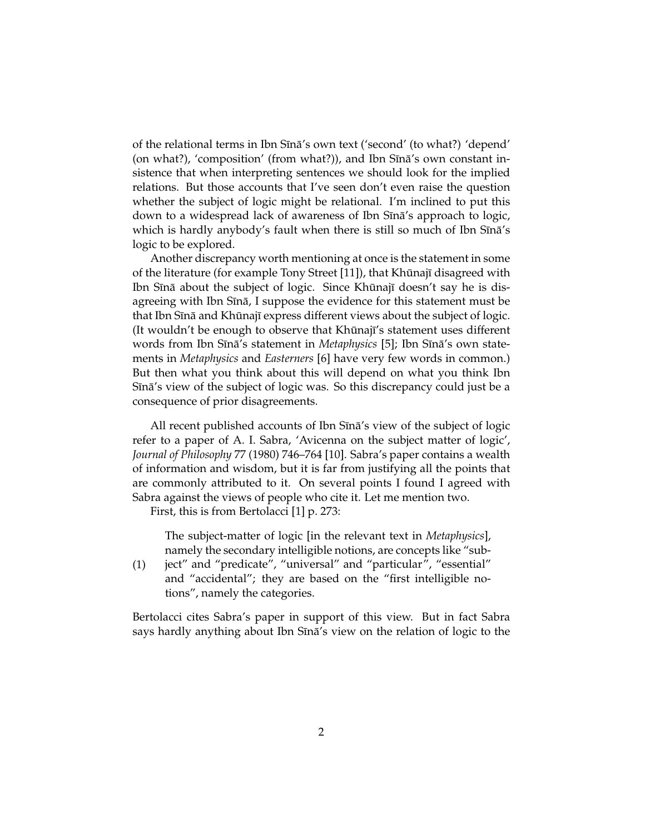of the relational terms in Ibn Sīnā's own text ('second' (to what?) 'depend' (on what?), 'composition' (from what?)), and Ibn Sīnā's own constant insistence that when interpreting sentences we should look for the implied relations. But those accounts that I've seen don't even raise the question whether the subject of logic might be relational. I'm inclined to put this down to a widespread lack of awareness of Ibn Sīnā's approach to logic, which is hardly anybody's fault when there is still so much of Ibn  $S\overline{\text{ina}}$ 's logic to be explored.

Another discrepancy worth mentioning at once is the statement in some of the literature (for example Tony Street [11]), that Khūnajī disagreed with Ibn Sīnā about the subject of logic. Since Khūnajī doesn't say he is disagreeing with Ibn Sīnā, I suppose the evidence for this statement must be that Ibn Sīnā and Khūnajī express different views about the subject of logic. (It wouldn't be enough to observe that Khūnajī's statement uses different words from Ibn Sīnā's statement in *Metaphysics* [5]; Ibn Sīnā's own statements in *Metaphysics* and *Easterners* [6] have very few words in common.) But then what you think about this will depend on what you think Ibn Sīnā's view of the subject of logic was. So this discrepancy could just be a consequence of prior disagreements.

All recent published accounts of Ibn Sīnā's view of the subject of logic refer to a paper of A. I. Sabra, 'Avicenna on the subject matter of logic', *Journal of Philosophy* 77 (1980) 746–764 [10]. Sabra's paper contains a wealth of information and wisdom, but it is far from justifying all the points that are commonly attributed to it. On several points I found I agreed with Sabra against the views of people who cite it. Let me mention two.

First, this is from Bertolacci [1] p. 273:

The subject-matter of logic [in the relevant text in *Metaphysics*], namely the secondary intelligible notions, are concepts like "sub-

(1) ject" and "predicate", "universal" and "particular", "essential" and "accidental"; they are based on the "first intelligible notions", namely the categories.

Bertolacci cites Sabra's paper in support of this view. But in fact Sabra says hardly anything about Ibn Sīnā's view on the relation of logic to the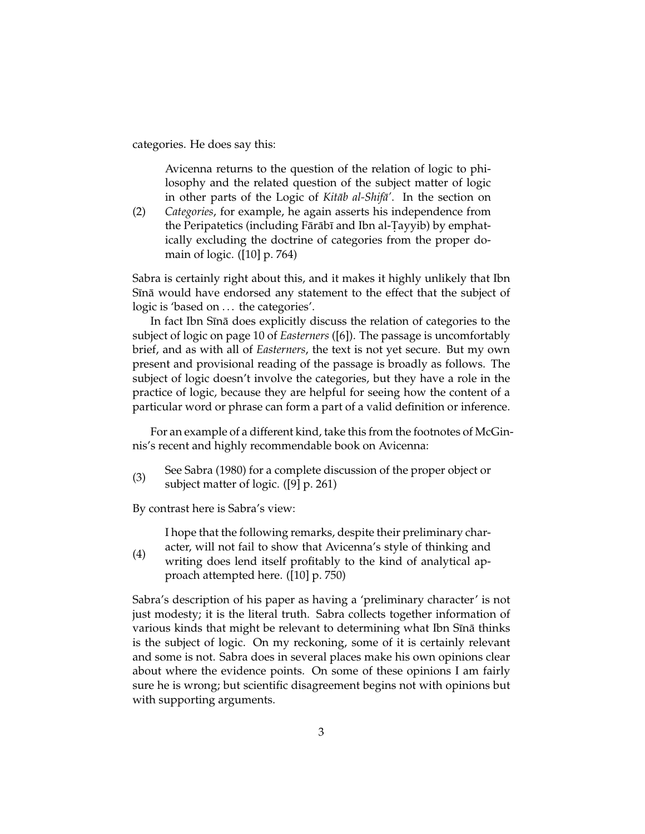categories. He does say this:

Avicenna returns to the question of the relation of logic to philosophy and the related question of the subject matter of logic in other parts of the Logic of *Kitāb al-Shifā'*. In the section on

(2) *Categories*, for example, he again asserts his independence from the Peripatetics (including Fārābī and Ibn al-Tayyib) by emphatically excluding the doctrine of categories from the proper domain of logic. ([10] p. 764)

Sabra is certainly right about this, and it makes it highly unlikely that Ibn Sīnā would have endorsed any statement to the effect that the subject of logic is 'based on ... the categories'.

In fact Ibn Sīnā does explicitly discuss the relation of categories to the subject of logic on page 10 of *Easterners* ([6]). The passage is uncomfortably brief, and as with all of *Easterners*, the text is not yet secure. But my own present and provisional reading of the passage is broadly as follows. The subject of logic doesn't involve the categories, but they have a role in the practice of logic, because they are helpful for seeing how the content of a particular word or phrase can form a part of a valid definition or inference.

For an example of a different kind, take this from the footnotes of McGinnis's recent and highly recommendable book on Avicenna:

(3) See Sabra (1980) for a complete discussion of the proper object or subject matter of logic. ([9] p. 261)

By contrast here is Sabra's view:

I hope that the following remarks, despite their preliminary character, will not fail to show that Avicenna's style of thinking and

(4) writing does lend itself profitably to the kind of analytical approach attempted here. ([10] p. 750)

Sabra's description of his paper as having a 'preliminary character' is not just modesty; it is the literal truth. Sabra collects together information of various kinds that might be relevant to determining what Ibn Sīnā thinks is the subject of logic. On my reckoning, some of it is certainly relevant and some is not. Sabra does in several places make his own opinions clear about where the evidence points. On some of these opinions I am fairly sure he is wrong; but scientific disagreement begins not with opinions but with supporting arguments.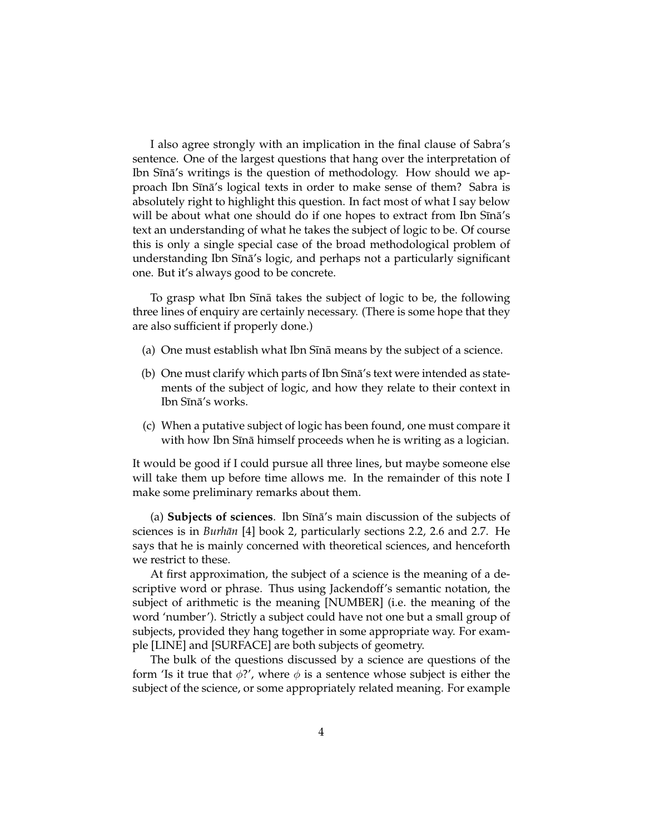I also agree strongly with an implication in the final clause of Sabra's sentence. One of the largest questions that hang over the interpretation of Ibn Sīnā's writings is the question of methodology. How should we approach Ibn Sīnā's logical texts in order to make sense of them? Sabra is absolutely right to highlight this question. In fact most of what I say below will be about what one should do if one hopes to extract from Ibn Sina's text an understanding of what he takes the subject of logic to be. Of course this is only a single special case of the broad methodological problem of understanding Ibn Sīnā's logic, and perhaps not a particularly significant one. But it's always good to be concrete.

To grasp what Ibn Sīnā takes the subject of logic to be, the following three lines of enquiry are certainly necessary. (There is some hope that they are also sufficient if properly done.)

- (a) One must establish what Ibn Sīnā means by the subject of a science.
- (b) One must clarify which parts of Ibn  $S$ ina's text were intended as statements of the subject of logic, and how they relate to their context in Ibn Sīnā's works.
- (c) When a putative subject of logic has been found, one must compare it with how Ibn Sīnā himself proceeds when he is writing as a logician.

It would be good if I could pursue all three lines, but maybe someone else will take them up before time allows me. In the remainder of this note I make some preliminary remarks about them.

(a) **Subjects of sciences**. Ibn S¯ına's main discussion of the subjects of ¯ sciences is in *Burhān* [4] book 2, particularly sections 2.2, 2.6 and 2.7. He says that he is mainly concerned with theoretical sciences, and henceforth we restrict to these.

At first approximation, the subject of a science is the meaning of a descriptive word or phrase. Thus using Jackendoff's semantic notation, the subject of arithmetic is the meaning [NUMBER] (i.e. the meaning of the word 'number'). Strictly a subject could have not one but a small group of subjects, provided they hang together in some appropriate way. For example [LINE] and [SURFACE] are both subjects of geometry.

The bulk of the questions discussed by a science are questions of the form 'Is it true that  $\phi$ ?', where  $\phi$  is a sentence whose subject is either the subject of the science, or some appropriately related meaning. For example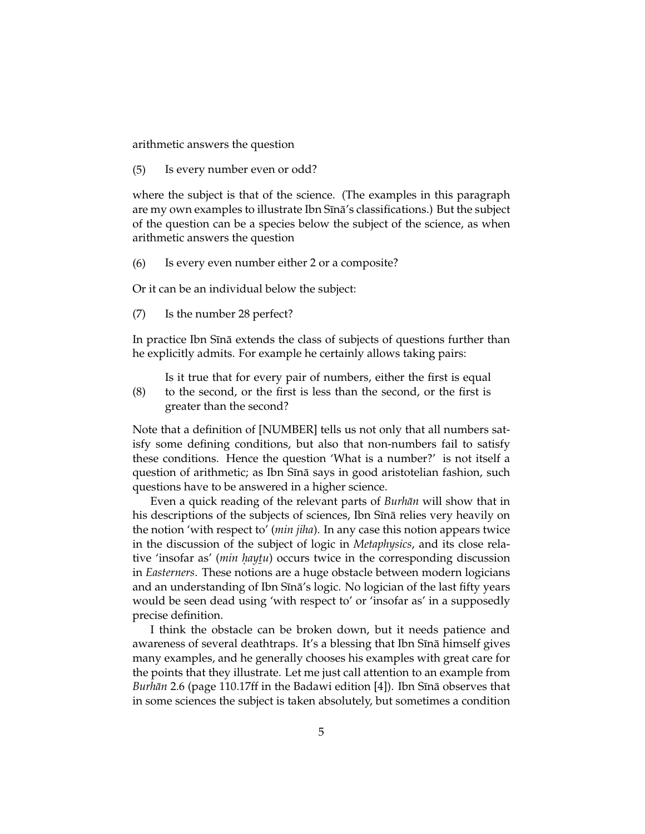arithmetic answers the question

(5) Is every number even or odd?

where the subject is that of the science. (The examples in this paragraph are my own examples to illustrate Ibn Sīnā's classifications.) But the subject of the question can be a species below the subject of the science, as when arithmetic answers the question

(6) Is every even number either 2 or a composite?

Or it can be an individual below the subject:

(7) Is the number 28 perfect?

In practice Ibn Sīnā extends the class of subjects of questions further than he explicitly admits. For example he certainly allows taking pairs:

(8) Is it true that for every pair of numbers, either the first is equal to the second, or the first is less than the second, or the first is greater than the second?

Note that a definition of [NUMBER] tells us not only that all numbers satisfy some defining conditions, but also that non-numbers fail to satisfy these conditions. Hence the question 'What is a number?' is not itself a question of arithmetic; as Ibn Sīnā says in good aristotelian fashion, such questions have to be answered in a higher science.

Even a quick reading of the relevant parts of *Burhān* will show that in his descriptions of the subjects of sciences, Ibn Sīnā relies very heavily on the notion 'with respect to' (*min jiha*). In any case this notion appears twice in the discussion of the subject of logic in *Metaphysics*, and its close relative 'insofar as' (*min haytu*) occurs twice in the corresponding discussion *¯* in *Easterners*. These notions are a huge obstacle between modern logicians and an understanding of Ibn Sīnā's logic. No logician of the last fifty years would be seen dead using 'with respect to' or 'insofar as' in a supposedly precise definition.

I think the obstacle can be broken down, but it needs patience and awareness of several deathtraps. It's a blessing that Ibn Sīnā himself gives many examples, and he generally chooses his examples with great care for the points that they illustrate. Let me just call attention to an example from *Burhān* 2.6 (page 110.17ff in the Badawi edition [4]). Ibn Sīnā observes that in some sciences the subject is taken absolutely, but sometimes a condition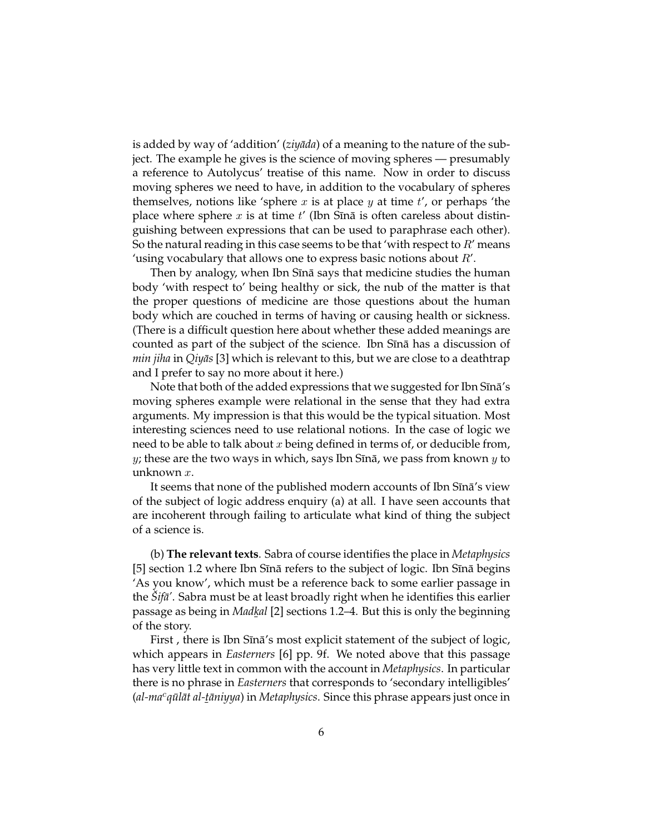is added by way of 'addition' (*ziyāda*) of a meaning to the nature of the subject. The example he gives is the science of moving spheres — presumably a reference to Autolycus' treatise of this name. Now in order to discuss moving spheres we need to have, in addition to the vocabulary of spheres themselves, notions like 'sphere x is at place y at time  $t'$ , or perhaps 'the place where sphere x is at time t' (Ibn Sina is often careless about distinguishing between expressions that can be used to paraphrase each other). So the natural reading in this case seems to be that 'with respect to  $R'$  means 'using vocabulary that allows one to express basic notions about  $R'$ .

Then by analogy, when Ibn Sīnā says that medicine studies the human body 'with respect to' being healthy or sick, the nub of the matter is that the proper questions of medicine are those questions about the human body which are couched in terms of having or causing health or sickness. (There is a difficult question here about whether these added meanings are counted as part of the subject of the science. Ibn Sina has a discussion of *min jiha* in *Qiy¯as* [3] which is relevant to this, but we are close to a deathtrap and I prefer to say no more about it here.)

Note that both of the added expressions that we suggested for Ibn Sīnā's moving spheres example were relational in the sense that they had extra arguments. My impression is that this would be the typical situation. Most interesting sciences need to use relational notions. In the case of logic we need to be able to talk about  $x$  being defined in terms of, or deducible from, y; these are the two ways in which, says Ibn Sīnā, we pass from known  $y$  to unknown x.

It seems that none of the published modern accounts of Ibn Sīnā's view of the subject of logic address enquiry (a) at all. I have seen accounts that are incoherent through failing to articulate what kind of thing the subject of a science is.

(b) **The relevant texts**. Sabra of course identifies the place in *Metaphysics*  $[5]$  section 1.2 where Ibn Sīnā refers to the subject of logic. Ibn Sīnā begins 'As you know', which must be a reference back to some earlier passage in the *Sif¯a' ˇ* . Sabra must be at least broadly right when he identifies this earlier passage as being in *Mad<u>k</u>al* [2] sections 1.2–4. But this is only the beginning<br>of the story of the story.

First, there is Ibn Sina's most explicit statement of the subject of logic, which appears in *Easterners* [6] pp. 9f. We noted above that this passage has very little text in common with the account in *Metaphysics*. In particular there is no phrase in *Easterners* that corresponds to 'secondary intelligibles' *(al-ma<sup>c</sup>qūlāt al-<u>t</u>āniyya)* in *Metaphysics*. Since this phrase appears just once in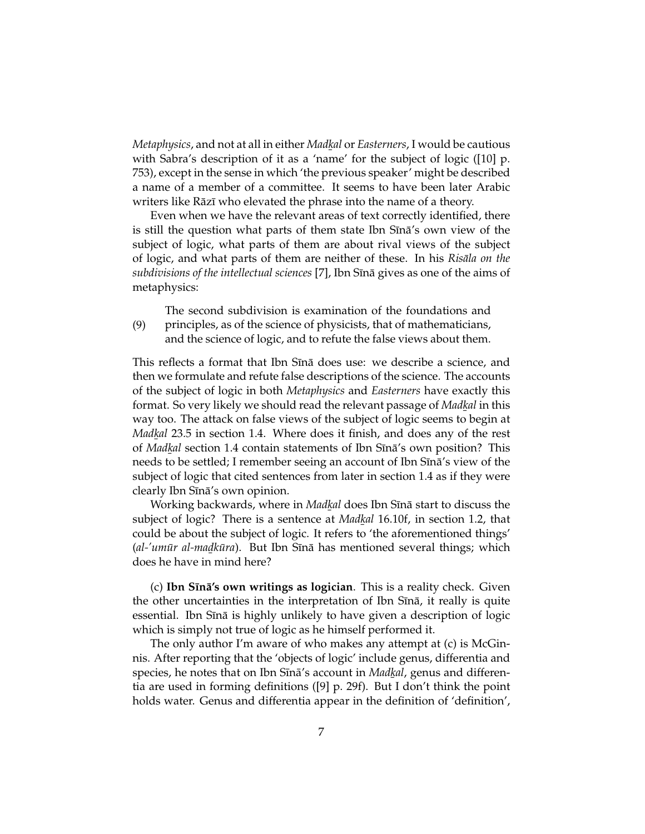*Metaphysics*, and not at all in either *Madk al* or *Easterners*, I would be cautious *¯* with Sabra's description of it as a 'name' for the subject of logic ([10] p. 753), except in the sense in which 'the previous speaker' might be described a name of a member of a committee. It seems to have been later Arabic writers like Rāzī who elevated the phrase into the name of a theory.

Even when we have the relevant areas of text correctly identified, there is still the question what parts of them state Ibn Sina's own view of the subject of logic, what parts of them are about rival views of the subject of logic, and what parts of them are neither of these. In his *Risāla on the* subdivisions of the intellectual sciences [7], Ibn Sīnā gives as one of the aims of metaphysics:

The second subdivision is examination of the foundations and

(9) principles, as of the science of physicists, that of mathematicians, and the science of logic, and to refute the false views about them.

This reflects a format that Ibn Sīnā does use: we describe a science, and then we formulate and refute false descriptions of the science. The accounts of the subject of logic in both *Metaphysics* and *Easterners* have exactly this format. So very likely we should read the relevant passage of *Madk al* in this *¯* way too. The attack on false views of the subject of logic seems to begin at *Madk al* 23.5 in section 1.4. Where does it finish, and does any of the rest *alangue 200* all section 1.4 contain statements of Ibn Sīnā's own position? This of *Madkal* section 1.4 contain statements of Ibn Sīnā's own position? This **The set of the settled;** I remember seeing an account of Ibn Sīnā's view of the subject of logic that cited sentences from later in section 1.4 as if they were clearly Ibn Sīnā's own opinion.

Working backwards*,* where in *Mad<u>k</u>al* does Ibn Sīnā start to discuss the *¯* subject of logic? There is a sentence at *Madk al* 16.10f, in section 1.2, that *¯* could be about the subject of logic. It refers to 'the aforementioned things' (al-'umūr al-madkūra). But Ibn Sīnā has mentioned several things; which *¯* does he have in mind here?

(c) **Ibn SIna's own writings as logician**. This is a reality check. Given the other uncertainties in the interpretation of Ibn Sīnā, it really is quite essential. Ibn Sīnā is highly unlikely to have given a description of logic which is simply not true of logic as he himself performed it.

The only author I'm aware of who makes any attempt at (c) is McGinnis. After reporting that the 'objects of logic' include genus, differentia and species, he notes that on Ibn Sīnā's account in *Mad<u>k</u>al*, genus and differen-*¯* tia are used in forming definitions ([9] p. 29f). But I don't think the point holds water. Genus and differentia appear in the definition of 'definition',